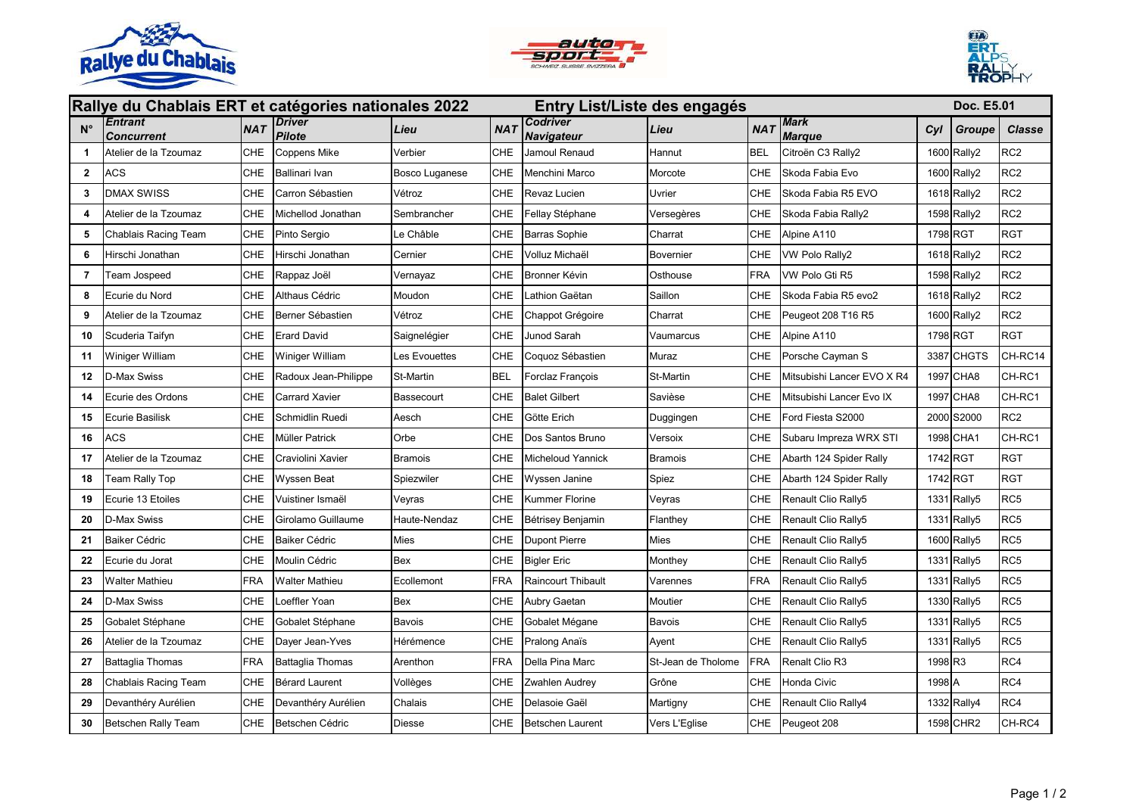





| Rallye du Chablais ERT et catégories nationales 2022<br>Entry List/Liste des engagés |                              |            |                                |                   |            |                                      |                    |            | <b>Doc. E5.01</b>            |          |             |                 |
|--------------------------------------------------------------------------------------|------------------------------|------------|--------------------------------|-------------------|------------|--------------------------------------|--------------------|------------|------------------------------|----------|-------------|-----------------|
| $N^{\circ}$                                                                          | <b>Entrant</b><br>Concurrent | <b>NAT</b> | <b>Driver</b><br><b>Pilote</b> | Lieu              | <b>NAT</b> | <b>Codriver</b><br><b>Navigateur</b> | Lieu               | <b>NAT</b> | <b>Mark</b><br><b>Marque</b> | Cyl      | Groupe      | <b>Classe</b>   |
| 1                                                                                    | Atelier de la Tzoumaz        | CHE        | Coppens Mike                   | Verbier           | CHE        | Jamoul Renaud                        | Hannut             | <b>BEL</b> | Citroën C3 Rally2            |          | 1600 Rally2 | RC <sub>2</sub> |
| $\mathbf{2}$                                                                         | <b>ACS</b>                   | <b>CHE</b> | Ballinari Ivan                 | Bosco Luganese    | CHE        | Menchini Marco                       | Morcote            | CHE        | Skoda Fabia Evo              |          | 1600 Rally2 | RC <sub>2</sub> |
| 3                                                                                    | <b>DMAX SWISS</b>            | <b>CHE</b> | Carron Sébastien               | Vétroz            | <b>CHE</b> | Revaz Lucien                         | Uvrier             | CHE        | Skoda Fabia R5 EVO           |          | 1618 Rally2 | RC <sub>2</sub> |
| 4                                                                                    | Atelier de la Tzoumaz        | <b>CHE</b> | Michellod Jonathan             | Sembrancher       | CHE        | Fellay Stéphane                      | Versegères         | CHE        | Skoda Fabia Rally2           |          | 1598 Rally2 | RC <sub>2</sub> |
| 5                                                                                    | Chablais Racing Team         | CHE        | Pinto Sergio                   | Le Châble         | CHE        | <b>Barras Sophie</b>                 | Charrat            | CHE        | Alpine A110                  | 1798 RGT |             | <b>RGT</b>      |
| 6                                                                                    | Hirschi Jonathan             | <b>CHE</b> | Hirschi Jonathan               | Cernier           | <b>CHE</b> | Volluz Michaël                       | Bovernier          | CHE        | VW Polo Rally2               |          | 1618 Rally2 | RC <sub>2</sub> |
| 7                                                                                    | Team Jospeed                 | <b>CHE</b> | Rappaz Joël                    | Vernayaz          | <b>CHE</b> | Bronner Kévin                        | Osthouse           | FRA        | VW Polo Gti R5               |          | 1598 Rally2 | RC <sub>2</sub> |
| 8                                                                                    | Ecurie du Nord               | <b>CHE</b> | Althaus Cédric                 | Moudon            | <b>CHE</b> | Lathion Gaëtan                       | Saillon            | CHE        | Skoda Fabia R5 evo2          |          | 1618 Rally2 | RC <sub>2</sub> |
| 9                                                                                    | Atelier de la Tzoumaz        | <b>CHE</b> | Berner Sébastien               | Vétroz            | <b>CHE</b> | Chappot Grégoire                     | Charrat            | CHE        | Peugeot 208 T16 R5           |          | 1600 Rally2 | RC <sub>2</sub> |
| 10                                                                                   | Scuderia Taifyn              | <b>CHE</b> | Erard David                    | Saignelégier      | <b>CHE</b> | Junod Sarah                          | Vaumarcus          | CHE        | Alpine A110                  | 1798 RGT |             | <b>RGT</b>      |
| 11                                                                                   | Winiger William              | <b>CHE</b> | Winiger William                | Les Evouettes     | <b>CHE</b> | Coquoz Sébastien                     | Muraz              | CHE        | Porsche Cayman S             |          | 3387 CHGTS  | CH-RC14         |
| 12                                                                                   | D-Max Swiss                  | <b>CHE</b> | Radoux Jean-Philippe           | St-Martin         | <b>BEL</b> | Forclaz François                     | St-Martin          | CHE        | Mitsubishi Lancer EVO X R4   |          | 1997 CHA8   | CH-RC1          |
| 14                                                                                   | Ecurie des Ordons            | <b>CHE</b> | Carrard Xavier                 | <b>Bassecourt</b> | <b>CHE</b> | <b>Balet Gilbert</b>                 | Savièse            | CHE        | Mitsubishi Lancer Evo IX     |          | 1997 CHA8   | CH-RC1          |
| 15                                                                                   | Ecurie Basilisk              | CHE        | Schmidlin Ruedi                | Aesch             | CHE        | Götte Erich                          | Duggingen          | CHE        | Ford Fiesta S2000            |          | 2000 S2000  | RC <sub>2</sub> |
| 16                                                                                   | ACS                          | <b>CHE</b> | Müller Patrick                 | Orbe              | <b>CHE</b> | Dos Santos Bruno                     | Versoix            | CHE        | Subaru Impreza WRX STI       |          | 1998 CHA1   | CH-RC1          |
| 17                                                                                   | Atelier de la Tzoumaz        | <b>CHE</b> | Craviolini Xavier              | <b>Bramois</b>    | <b>CHE</b> | Micheloud Yannick                    | <b>Bramois</b>     | CHE        | Abarth 124 Spider Rally      | 1742 RGT |             | <b>RGT</b>      |
| 18                                                                                   | Team Rally Top               | <b>CHE</b> | Wyssen Beat                    | Spiezwiler        | <b>CHE</b> | Wyssen Janine                        | Spiez              | CHE        | Abarth 124 Spider Rally      | 1742 RGT |             | <b>RGT</b>      |
| 19                                                                                   | Ecurie 13 Etoiles            | <b>CHE</b> | Vuistiner Ismaël               | Veyras            | <b>CHE</b> | Kummer Florine                       | Veyras             | CHE        | Renault Clio Rally5          |          | 1331 Rally5 | RC <sub>5</sub> |
| 20                                                                                   | D-Max Swiss                  | CHE        | Girolamo Guillaume             | Haute-Nendaz      | <b>CHE</b> | Bétrisey Benjamin                    | Flanthey           | CHE        | Renault Clio Rally5          |          | 1331 Rally5 | RC <sub>5</sub> |
| 21                                                                                   | Baiker Cédric                | CHE        | Baiker Cédric                  | Mies              | <b>CHE</b> | <b>Dupont Pierre</b>                 | Mies               | CHE        | Renault Clio Rally5          |          | 1600 Rally5 | RC <sub>5</sub> |
| 22                                                                                   | Ecurie du Jorat              | <b>CHE</b> | Moulin Cédric                  | <b>Bex</b>        | CHE        | <b>Bigler Eric</b>                   | Monthey            | CHE        | Renault Clio Rally5          |          | 1331 Rally5 | RC <sub>5</sub> |
| 23                                                                                   | Walter Mathieu               | <b>FRA</b> | Walter Mathieu                 | Ecollemont        | <b>FRA</b> | <b>Raincourt Thibault</b>            | Varennes           | FRA        | Renault Clio Rally5          |          | 1331 Rally5 | RC <sub>5</sub> |
| 24                                                                                   | D-Max Swiss                  | <b>CHE</b> | Loeffler Yoan                  | Bex               | CHE        | Aubry Gaetan                         | Moutier            | CHE        | Renault Clio Rally5          |          | 1330 Rally5 | RC <sub>5</sub> |
| 25                                                                                   | Gobalet Stéphane             | <b>CHE</b> | Gobalet Stéphane               | Bavois            | CHE        | Gobalet Mégane                       | Bavois             | CHE        | Renault Clio Rally5          |          | 1331 Rally5 | RC <sub>5</sub> |
| 26                                                                                   | Atelier de la Tzoumaz        | <b>CHE</b> | Dayer Jean-Yves                | Hérémence         | <b>CHE</b> | Pralong Anaïs                        | Ayent              | CHE        | Renault Clio Rally5          |          | 1331 Rally5 | RC <sub>5</sub> |
| 27                                                                                   | <b>Battaglia Thomas</b>      | <b>FRA</b> | Battaglia Thomas               | Arenthon          | <b>FRA</b> | Della Pina Marc                      | St-Jean de Tholome | FRA        | Renalt Clio R3               | 1998 R3  |             | RC4             |
| 28                                                                                   | Chablais Racing Team         | <b>CHE</b> | Bérard Laurent                 | Vollèges          | CHE        | <b>Zwahlen Audrey</b>                | Grône              | CHE        | Honda Civic                  | 1998 A   |             | RC4             |
| 29                                                                                   | Devanthéry Aurélien          | CHE        | Devanthéry Aurélien            | Chalais           | CHE        | Delasoie Gaël                        | Martigny           | CHE        | Renault Clio Rally4          |          | 1332 Rally4 | RC4             |
| 30                                                                                   | Betschen Rally Team          | <b>CHE</b> | Betschen Cédric                | Diesse            | <b>CHE</b> | Betschen Laurent                     | Vers L'Eglise      | CHE        | Peugeot 208                  |          | 1598 CHR2   | CH-RC4          |